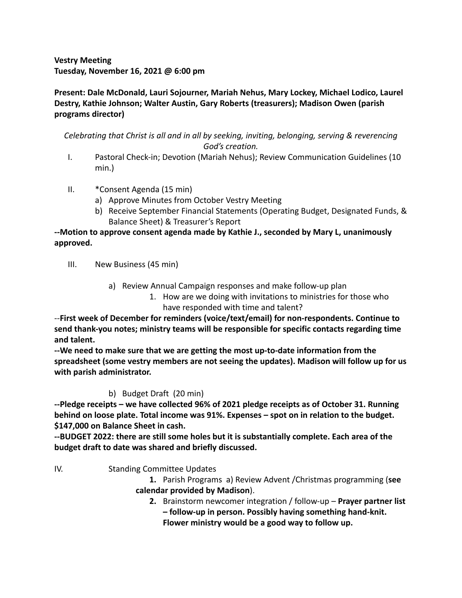## **Vestry Meeting Tuesday, November 16, 2021 @ 6:00 pm**

## **Present: Dale McDonald, Lauri Sojourner, Mariah Nehus, Mary Lockey, Michael Lodico, Laurel Destry, Kathie Johnson; Walter Austin, Gary Roberts (treasurers); Madison Owen (parish programs director)**

*Celebrating that Christ is all and in all by seeking, inviting, belonging, serving & reverencing God's creation.*

- I. Pastoral Check-in; Devotion (Mariah Nehus); Review Communication Guidelines (10 min.)
- II. \*Consent Agenda (15 min)
	- a) Approve Minutes from October Vestry Meeting
	- b) Receive September Financial Statements (Operating Budget, Designated Funds, & Balance Sheet) & Treasurer's Report

## **--Motion to approve consent agenda made by Kathie J., seconded by Mary L, unanimously approved.**

- III. New Business (45 min)
	- a) Review Annual Campaign responses and make follow-up plan
		- 1. How are we doing with invitations to ministries for those who have responded with time and talent?

--**First week of December for reminders (voice/text/email) for non-respondents. Continue to send thank-you notes; ministry teams will be responsible for specific contacts regarding time and talent.**

**--We need to make sure that we are getting the most up-to-date information from the spreadsheet (some vestry members are not seeing the updates). Madison will follow up for us with parish administrator.**

## b) Budget Draft (20 min)

**--Pledge receipts – we have collected 96% of 2021 pledge receipts as of October 31. Running behind on loose plate. Total income was 91%. Expenses – spot on in relation to the budget. \$147,000 on Balance Sheet in cash.**

**--BUDGET 2022: there are still some holes but it is substantially complete. Each area of the budget draft to date was shared and briefly discussed.**

- IV. Standing Committee Updates
	- **1.** Parish Programs a) Review Advent /Christmas programming (**see calendar provided by Madison**).
		- **2.** Brainstorm newcomer integration / follow-up **Prayer partner list – follow-up in person. Possibly having something hand-knit. Flower ministry would be a good way to follow up.**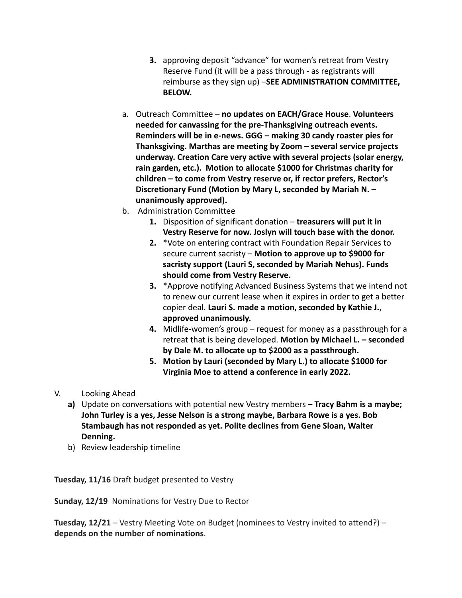- **3.** approving deposit "advance" for women's retreat from Vestry Reserve Fund (it will be a pass through - as registrants will reimburse as they sign up) –**SEE ADMINISTRATION COMMITTEE, BELOW.**
- a. Outreach Committee **no updates on EACH/Grace House**. **Volunteers needed for canvassing for the pre-Thanksgiving outreach events. Reminders will be in e-news. GGG – making 30 candy roaster pies for Thanksgiving. Marthas are meeting by Zoom – several service projects underway. Creation Care very active with several projects (solar energy, rain garden, etc.). Motion to allocate \$1000 for Christmas charity for children – to come from Vestry reserve or, if rector prefers, Rector's Discretionary Fund (Motion by Mary L, seconded by Mariah N. – unanimously approved).**
- b. Administration Committee
	- **1.** Disposition of significant donation **treasurers will put it in Vestry Reserve for now. Joslyn will touch base with the donor.**
	- **2.** \*Vote on entering contract with Foundation Repair Services to secure current sacristy – **Motion to approve up to \$9000 for sacristy support (Lauri S, seconded by Mariah Nehus). Funds should come from Vestry Reserve.**
	- **3.** \*Approve notifying Advanced Business Systems that we intend not to renew our current lease when it expires in order to get a better copier deal. **Lauri S. made a motion, seconded by Kathie J.**, **approved unanimously.**
	- **4.** Midlife-women's group request for money as a passthrough for a retreat that is being developed. **Motion by Michael L. – seconded by Dale M. to allocate up to \$2000 as a passthrough.**
	- **5. Motion by Lauri (seconded by Mary L.) to allocate \$1000 for Virginia Moe to attend a conference in early 2022.**
- V. Looking Ahead
	- **a)** Update on conversations with potential new Vestry members **Tracy Bahm is a maybe; John Turley is a yes, Jesse Nelson is a strong maybe, Barbara Rowe is a yes. Bob Stambaugh has not responded as yet. Polite declines from Gene Sloan, Walter Denning.**
	- b) Review leadership timeline

**Tuesday, 11/16** Draft budget presented to Vestry

**Sunday, 12/19** Nominations for Vestry Due to Rector

**Tuesday, 12/21** – Vestry Meeting Vote on Budget (nominees to Vestry invited to attend?) – **depends on the number of nominations**.